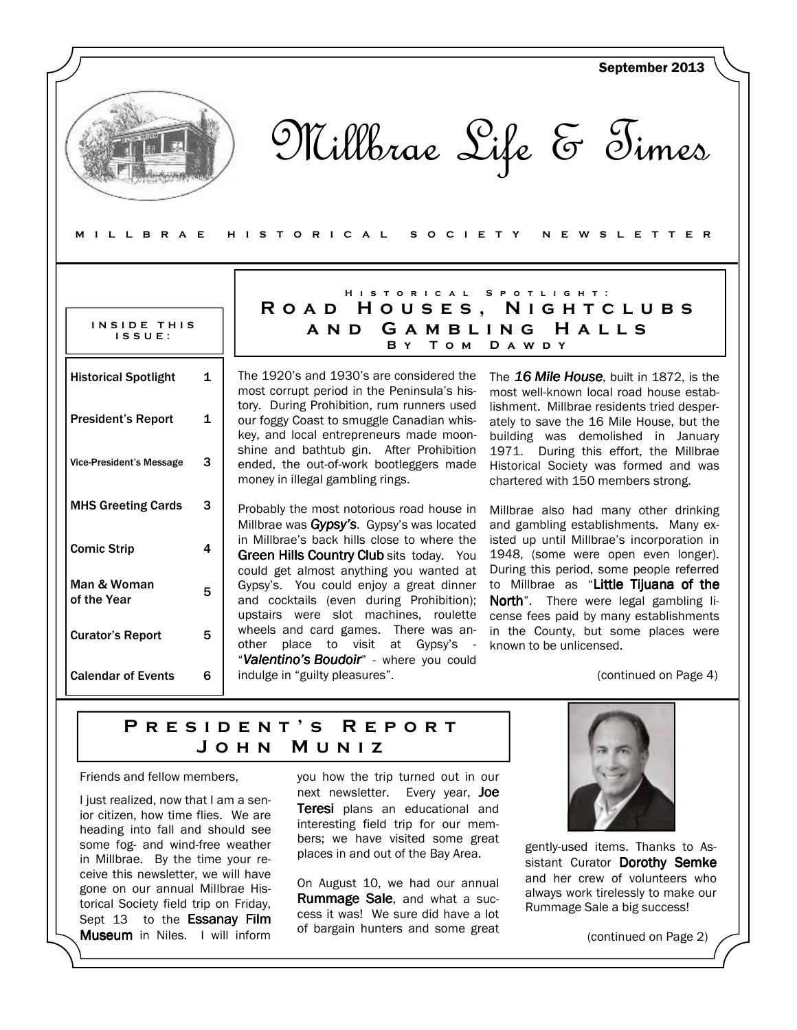|                                                                                                        |                                                                                                                                                                         | September 2013                                                                                                                                                       |
|--------------------------------------------------------------------------------------------------------|-------------------------------------------------------------------------------------------------------------------------------------------------------------------------|----------------------------------------------------------------------------------------------------------------------------------------------------------------------|
| Millbrae Life & Times<br>MILLBRAE<br>H I S T O R I C A L<br>S O C I E T Y<br>W S L E T T E R<br>N<br>E |                                                                                                                                                                         |                                                                                                                                                                      |
|                                                                                                        |                                                                                                                                                                         |                                                                                                                                                                      |
| INSIDE THIS<br>$IS$ $S$ $U$ $E$ :                                                                      | HISTORICAL SPOTLIGHT:<br>ROAD HOUSES, NIGHTCLUBS<br>A N D<br>Том<br>B Y                                                                                                 | GAMBLING HALLS<br>D A W D Y                                                                                                                                          |
| <b>Historical Spotlight</b><br>1                                                                       | The 1920's and 1930's are considered the<br>most corrupt period in the Peninsula's his-                                                                                 | The 16 Mile House, built in 1872, is the<br>most well-known local road house estab-                                                                                  |
| <b>President's Report</b><br>$\mathbf{1}$                                                              | tory. During Prohibition, rum runners used<br>our foggy Coast to smuggle Canadian whis-<br>key, and local entrepreneurs made moon-                                      | lishment. Millbrae residents tried desper-<br>ately to save the 16 Mile House, but the<br>building was demolished in January                                         |
| 3<br><b>Vice-President's Message</b>                                                                   | shine and bathtub gin. After Prohibition<br>ended, the out-of-work bootleggers made<br>money in illegal gambling rings.                                                 | 1971. During this effort, the Millbrae<br>Historical Society was formed and was<br>chartered with 150 members strong.                                                |
| <b>MHS Greeting Cards</b><br>3                                                                         | Probably the most notorious road house in<br>Millbrae was Gypsy's. Gypsy's was located                                                                                  | Millbrae also had many other drinking<br>and gambling establishments. Many ex-                                                                                       |
| <b>Comic Strip</b><br>4                                                                                | in Millbrae's back hills close to where the<br>Green Hills Country Club sits today. You                                                                                 | isted up until Millbrae's incorporation in<br>1948, (some were open even longer).                                                                                    |
| Man & Woman<br>5<br>of the Year                                                                        | could get almost anything you wanted at<br>Gypsy's. You could enjoy a great dinner<br>and cocktails (even during Prohibition);<br>upstairs were slot machines, roulette | During this period, some people referred<br>to Millbrae as "Little Tijuana of the<br>North". There were legal gambling li-<br>cense fees paid by many establishments |
| <b>Curator's Report</b><br>5                                                                           | wheels and card games. There was an-<br>other place to visit at Gypsy's -                                                                                               | in the County, but some places were<br>known to be unlicensed.                                                                                                       |
| <b>Calendar of Events</b><br>6                                                                         | "Valentino's Boudoir" - where you could<br>indulge in "guilty pleasures".                                                                                               | (continued on Page 4)                                                                                                                                                |

## PRESIDENT'S REPORT J o h n M u n i z

Friends and fellow members,

I just realized, now that I am a senior citizen, how time flies. We are heading into fall and should see some fog- and wind-free weather in Millbrae. By the time your receive this newsletter, we will have gone on our annual Millbrae Historical Society field trip on Friday, Sept 13 to the Essanay Film Museum in Niles. I will inform

you how the trip turned out in our next newsletter. Every year, Joe Teresi plans an educational and interesting field trip for our members; we have visited some great places in and out of the Bay Area.

On August 10, we had our annual Rummage Sale, and what a success it was! We sure did have a lot of bargain hunters and some great



gently-used items. Thanks to Assistant Curator Dorothy Semke and her crew of volunteers who always work tirelessly to make our Rummage Sale a big success!

(continued on Page 2)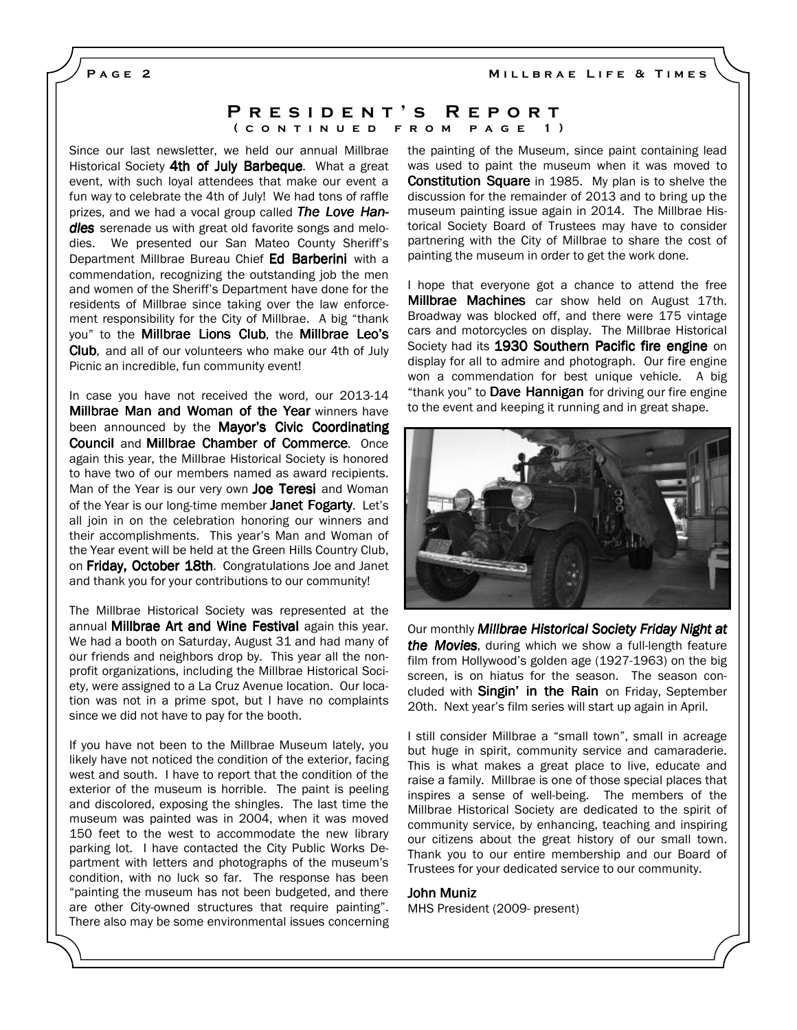MILLBRAE LIFE & TIMES

PAGE<sub>2</sub>

### P R E S I D E N T 'S R E P O R T ( CONTINUED FROM PAGE 1)

Since our last newsletter, we held our annual Millbrae Historical Society 4th of July Barbeque. What a great event, with such loyal attendees that make our event a fun way to celebrate the 4th of July! We had tons of raffle prizes, and we had a vocal group called The Love Handles serenade us with great old favorite songs and melodies. We presented our San Mateo County Sheriff's Department Millbrae Bureau Chief Ed Barberini with a commendation, recognizing the outstanding job the men and women of the Sheriff's Department have done for the residents of Millbrae since taking over the law enforcement responsibility for the City of Millbrae. A big "thank you" to the Millbrae Lions Club, the Millbrae Leo's Club, and all of our volunteers who make our 4th of July Picnic an incredible, fun community event!

In case you have not received the word, our 2013-14 **Millbrae Man and Woman of the Year winners have** been announced by the Mayor's Civic Coordinating Council and Millbrae Chamber of Commerce. Once again this year, the Millbrae Historical Society is honored to have two of our members named as award recipients. Man of the Year is our very own Joe Teresi and Woman of the Year is our long-time member Janet Fogarty. Let's all join in on the celebration honoring our winners and their accomplishments. This year's Man and Woman of the Year event will be held at the Green Hills Country Club, on Friday, October 18th. Congratulations Joe and Janet and thank you for your contributions to our community!

The Millbrae Historical Society was represented at the annual **Millbrae Art and Wine Festival** again this year. We had a booth on Saturday, August 31 and had many of our friends and neighbors drop by. This year all the nonprofit organizations, including the Millbrae Historical Society, were assigned to a La Cruz Avenue location. Our location was not in a prime spot, but I have no complaints since we did not have to pay for the booth.

If you have not been to the Millbrae Museum lately, you likely have not noticed the condition of the exterior, facing west and south. I have to report that the condition of the exterior of the museum is horrible. The paint is peeling and discolored, exposing the shingles. The last time the museum was painted was in 2004, when it was moved 150 feet to the west to accommodate the new library parking lot. I have contacted the City Public Works Department with letters and photographs of the museum's condition, with no luck so far. The response has been "painting the museum has not been budgeted, and there are other City-owned structures that require painting". There also may be some environmental issues concerning the painting of the Museum, since paint containing lead was used to paint the museum when it was moved to **Constitution Square** in 1985. My plan is to shelve the discussion for the remainder of 2013 and to bring up the museum painting issue again in 2014. The Millbrae Historical Society Board of Trustees may have to consider partnering with the City of Millbrae to share the cost of painting the museum in order to get the work done.

I hope that everyone got a chance to attend the free Millbrae Machines car show held on August 17th. Broadway was blocked off, and there were 175 vintage cars and motorcycles on display. The Millbrae Historical Society had its 1930 Southern Pacific fire engine on display for all to admire and photograph. Our fire engine won a commendation for best unique vehicle. A big "thank you" to Dave Hannigan for driving our fire engine to the event and keeping it running and in great shape.



Our monthly Millbrae Historical Society Friday Night at the Movies, during which we show a full-length feature film from Hollywood's golden age (1927-1963) on the big screen, is on hiatus for the season. The season concluded with Singin' in the Rain on Friday, September 20th. Next year's film series will start up again in April.

I still consider Millbrae a "small town", small in acreage but huge in spirit, community service and camaraderie. This is what makes a great place to live, educate and raise a family. Millbrae is one of those special places that inspires a sense of well-being. The members of the Millbrae Historical Society are dedicated to the spirit of community service, by enhancing, teaching and inspiring our citizens about the great history of our small town. Thank you to our entire membership and our Board of Trustees for your dedicated service to our community.

#### John Muniz

MHS President (2009- present)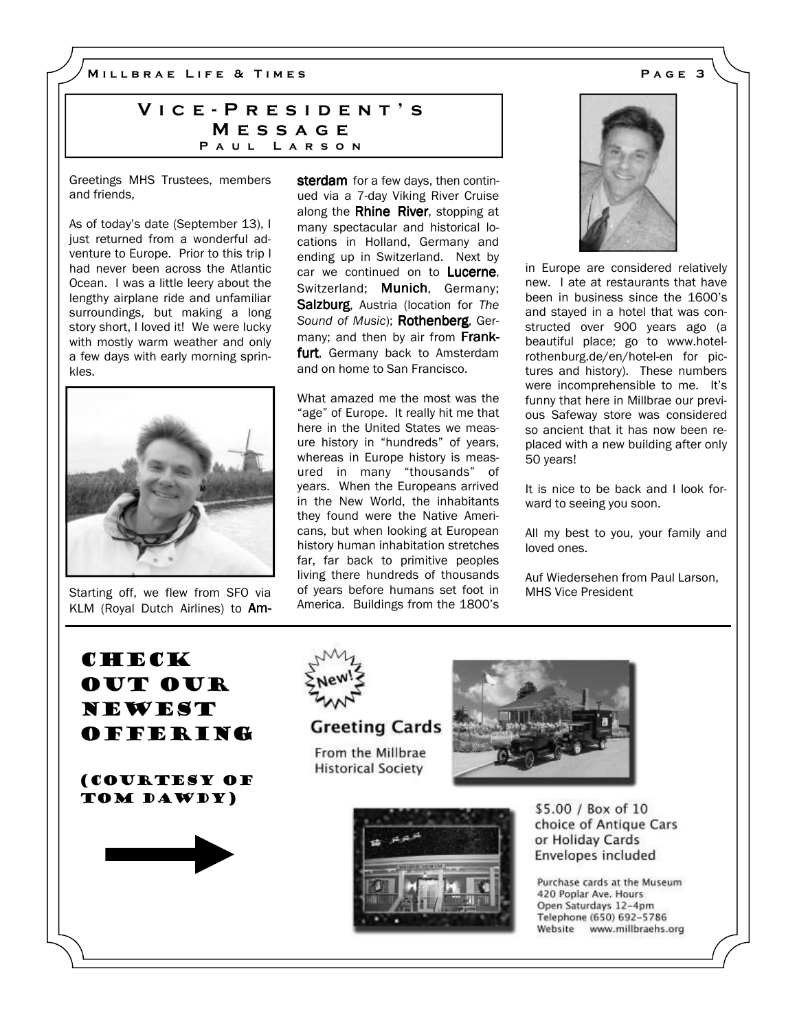M I L L B R A E L I F E & T I M E S A G E 3

## VICE - PRESIDENT'S **MESSAGE** PAUL LARSON

Greetings MHS Trustees, members and friends,

As of today's date (September 13), I iust returned from a wonderful adventure to Europe. Prior to this trip I had never been across the Atlantic Ocean. I was a little leery about the lengthy airplane ride and unfamiliar surroundings, but making a long story short, I loved it! We were lucky with mostly warm weather and only a few days with early morning sprinkles.



Starting off, we flew from SFO via KLM (Royal Dutch Airlines) to Amsterdam for a few days, then continued via a 7-day Viking River Cruise along the Rhine River, stopping at many spectacular and historical locations in Holland, Germany and ending up in Switzerland. Next by car we continued on to Lucerne, Switzerland; Munich, Germany; Salzburg, Austria (location for The Sound of Music); Rothenberg, Germany; and then by air from Frankfurt, Germany back to Amsterdam and on home to San Francisco.

What amazed me the most was the "age" of Europe. It really hit me that here in the United States we measure history in "hundreds" of years, whereas in Europe history is measured in many "thousands" of years. When the Europeans arrived in the New World, the inhabitants they found were the Native Americans, but when looking at European history human inhabitation stretches far, far back to primitive peoples living there hundreds of thousands of years before humans set foot in America. Buildings from the 1800's



in Europe are considered relatively new. I ate at restaurants that have been in business since the 1600's and stayed in a hotel that was constructed over 900 years ago (a beautiful place; go to www.hotelrothenburg.de/en/hotel-en for pictures and history). These numbers were incomprehensible to me. It's funny that here in Millbrae our previous Safeway store was considered so ancient that it has now been replaced with a new building after only 50 years!

It is nice to be back and I look forward to seeing you soon.

All my best to you, your family and loved ones.

Auf Wiedersehen from Paul Larson, MHS Vice President

out our newest offering (courtesy of tom Dawdy)

**CHECK** 



**Greeting Cards** 

From the Millbrae **Historical Society** 



\$5.00 / Box of 10 choice of Antique Cars or Holiday Cards Envelopes included

Purchase cards at the Museum 420 Poplar Ave. Hours Open Saturdays 12-4pm Telephone (650) 692-5786 Website www.millbraehs.org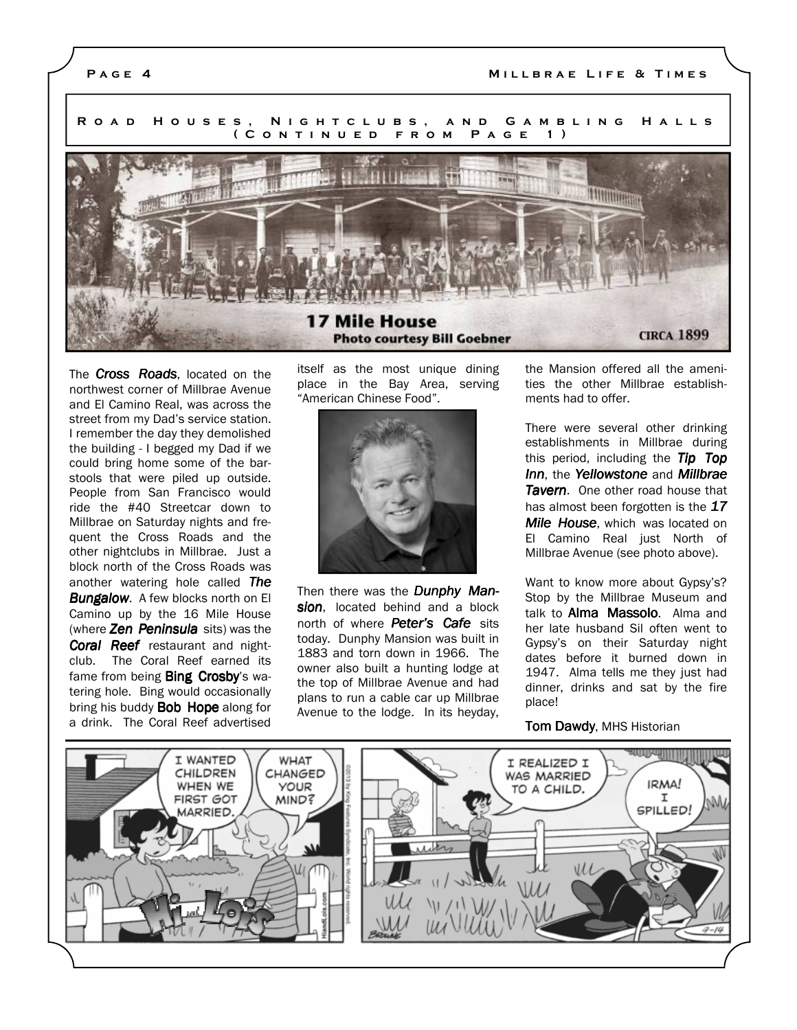#### P A G E 4 M I LLBRAE LIFE & TIMES

R O A D H O U S E S , N I G H T C L U B S , A N D G A M B L I N G H A L L S ( CONTINUED FROM PAGE 1) **Allianian** 

The **Cross Roads**, located on the northwest corner of Millbrae Avenue and El Camino Real, was across the street from my Dad's service station. I remember the day they demolished the building - I begged my Dad if we could bring home some of the barstools that were piled up outside. People from San Francisco would ride the #40 Streetcar down to Millbrae on Saturday nights and frequent the Cross Roads and the other nightclubs in Millbrae. Just a block north of the Cross Roads was another watering hole called The **Bungalow.** A few blocks north on El Camino up by the 16 Mile House (where Zen Peninsula sits) was the Coral Reef restaurant and nightclub. The Coral Reef earned its fame from being **Bing Crosby's** watering hole. Bing would occasionally bring his buddy **Bob Hope** along for a drink. The Coral Reef advertised itself as the most unique dining place in the Bay Area, serving "American Chinese Food".

**Photo courtesy Bill Goebner** 

17 Mile House



Then there was the **Dunphy Man**sion, located behind and a block north of where **Peter's Cafe** sits today. Dunphy Mansion was built in 1883 and torn down in 1966. The owner also built a hunting lodge at the top of Millbrae Avenue and had plans to run a cable car up Millbrae Avenue to the lodge. In its heyday,

the Mansion offered all the amenities the other Millbrae establishments had to offer.

**CIRCA 1899** 

There were several other drinking establishments in Millbrae during this period, including the Tip Top Inn, the Yellowstone and Millbrae **Tavern.** One other road house that has almost been forgotten is the  $17$ Mile House, which was located on El Camino Real just North of Millbrae Avenue (see photo above).

Want to know more about Gypsy's? Stop by the Millbrae Museum and talk to **Alma Massolo**. Alma and her late husband Sil often went to Gypsy's on their Saturday night dates before it burned down in 1947. Alma tells me they just had dinner, drinks and sat by the fire place!

#### **Tom Dawdy, MHS Historian**

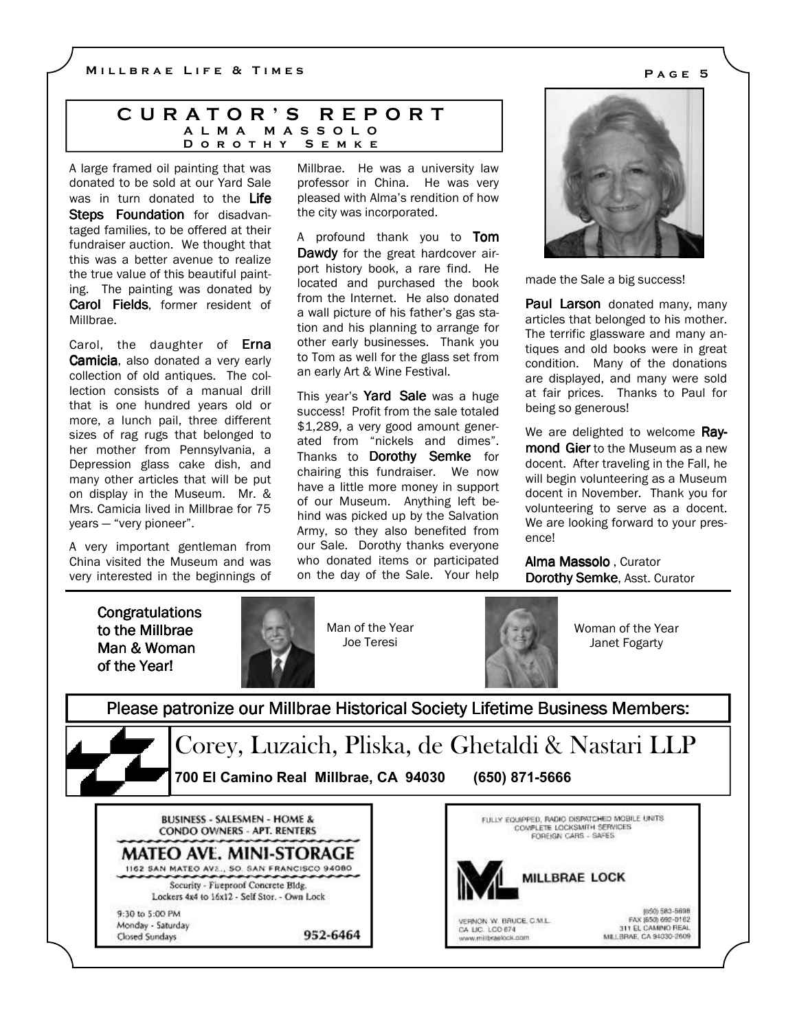### C U R A T O R ' S R E P O R T A L M A M A S S O L O D O R O T H Y S E M K E

A large framed oil painting that was donated to be sold at our Yard Sale was in turn donated to the Life Steps Foundation for disadvantaged families, to be offered at their fundraiser auction. We thought that this was a better avenue to realize the true value of this beautiful painting. The painting was donated by Carol Fields, former resident of Millbrae.

Carol, the daughter of **Erna** Camicia, also donated a very early collection of old antiques. The collection consists of a manual drill that is one hundred years old or more, a lunch pail, three different sizes of rag rugs that belonged to her mother from Pennsylvania, a Depression glass cake dish, and many other articles that will be put on display in the Museum. Mr. & Mrs. Camicia lived in Millbrae for 75 years — "very pioneer".

A very important gentleman from China visited the Museum and was very interested in the beginnings of Millbrae. He was a university law professor in China. He was very pleased with Alma's rendition of how the city was incorporated.

A profound thank you to Tom Dawdy for the great hardcover airport history book, a rare find. He located and purchased the book from the Internet. He also donated a wall picture of his father's gas station and his planning to arrange for other early businesses. Thank you to Tom as well for the glass set from an early Art & Wine Festival.

This year's Yard Sale was a huge success! Profit from the sale totaled \$1,289, a very good amount generated from "nickels and dimes". Thanks to Dorothy Semke for chairing this fundraiser. We now have a little more money in support of our Museum. Anything left behind was picked up by the Salvation Army, so they also benefited from our Sale. Dorothy thanks everyone who donated items or participated on the day of the Sale. Your help



made the Sale a big success!

**Paul Larson** donated many, many articles that belonged to his mother. The terrific glassware and many antiques and old books were in great condition. Many of the donations are displayed, and many were sold at fair prices. Thanks to Paul for being so generous!

We are delighted to welcome Raymond Gier to the Museum as a new docent. After traveling in the Fall, he will begin volunteering as a Museum docent in November. Thank you for volunteering to serve as a docent. We are looking forward to your presence!

Alma Massolo , Curator Dorothy Semke, Asst. Curator

**Congratulations** to the Millbrae Man & Woman of the Year!



Man of the Year Joe Teresi



Woman of the Year Janet Fogarty

Please patronize our Millbrae Historical Society Lifetime Business Members:

Corey, Luzaich, Pliska, de Ghetaldi & Nastari LLP 700 El Camino Real Millbrae, CA 94030 (650) 871-5666